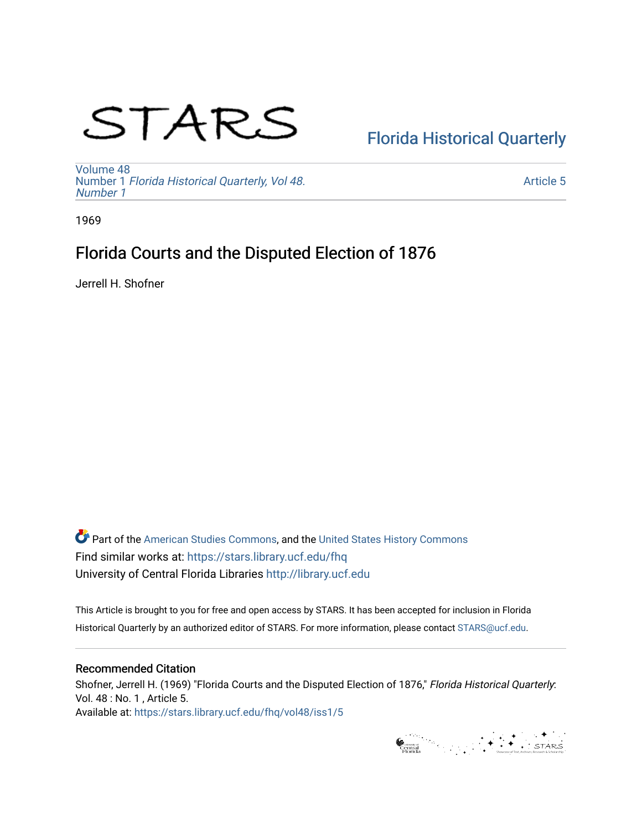# STARS

# [Florida Historical Quarterly](https://stars.library.ucf.edu/fhq)

[Volume 48](https://stars.library.ucf.edu/fhq/vol48) Number 1 [Florida Historical Quarterly, Vol 48.](https://stars.library.ucf.edu/fhq/vol48/iss1) [Number 1](https://stars.library.ucf.edu/fhq/vol48/iss1)

[Article 5](https://stars.library.ucf.edu/fhq/vol48/iss1/5) 

1969

# Florida Courts and the Disputed Election of 1876

Jerrell H. Shofner

**C** Part of the [American Studies Commons](http://network.bepress.com/hgg/discipline/439?utm_source=stars.library.ucf.edu%2Ffhq%2Fvol48%2Fiss1%2F5&utm_medium=PDF&utm_campaign=PDFCoverPages), and the United States History Commons Find similar works at: <https://stars.library.ucf.edu/fhq> University of Central Florida Libraries [http://library.ucf.edu](http://library.ucf.edu/) 

This Article is brought to you for free and open access by STARS. It has been accepted for inclusion in Florida Historical Quarterly by an authorized editor of STARS. For more information, please contact [STARS@ucf.edu.](mailto:STARS@ucf.edu)

# Recommended Citation

Shofner, Jerrell H. (1969) "Florida Courts and the Disputed Election of 1876," Florida Historical Quarterly: Vol. 48 : No. 1 , Article 5. Available at: [https://stars.library.ucf.edu/fhq/vol48/iss1/5](https://stars.library.ucf.edu/fhq/vol48/iss1/5?utm_source=stars.library.ucf.edu%2Ffhq%2Fvol48%2Fiss1%2F5&utm_medium=PDF&utm_campaign=PDFCoverPages) 

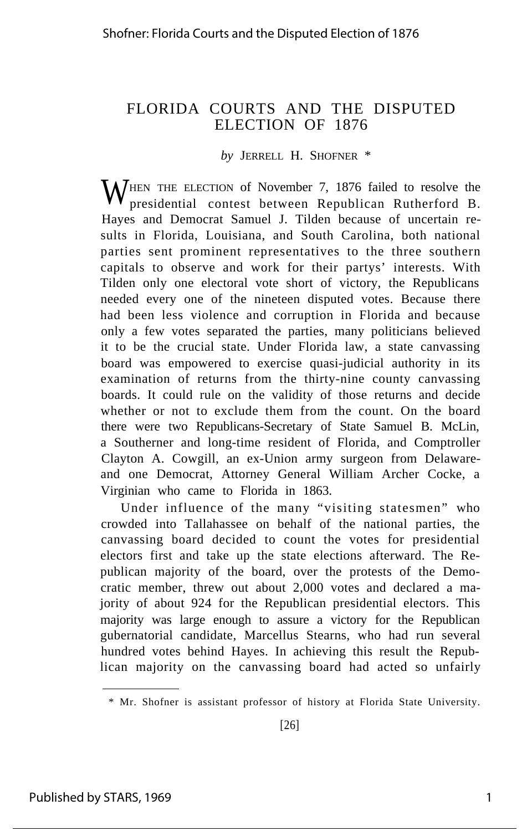*by* JERRELL H. SHOFNER \*

**W**HEN THE ELECTION of November 7, 1876 failed to resolve the presidential contest between Republican Rutherford B. Hayes and Democrat Samuel J. Tilden because of uncertain results in Florida, Louisiana, and South Carolina, both national parties sent prominent representatives to the three southern capitals to observe and work for their partys' interests. With Tilden only one electoral vote short of victory, the Republicans needed every one of the nineteen disputed votes. Because there had been less violence and corruption in Florida and because only a few votes separated the parties, many politicians believed it to be the crucial state. Under Florida law, a state canvassing board was empowered to exercise quasi-judicial authority in its examination of returns from the thirty-nine county canvassing boards. It could rule on the validity of those returns and decide whether or not to exclude them from the count. On the board there were two Republicans-Secretary of State Samuel B. McLin, a Southerner and long-time resident of Florida, and Comptroller Clayton A. Cowgill, an ex-Union army surgeon from Delawareand one Democrat, Attorney General William Archer Cocke, a Virginian who came to Florida in 1863.

Under influence of the many "visiting statesmen" who crowded into Tallahassee on behalf of the national parties, the canvassing board decided to count the votes for presidential electors first and take up the state elections afterward. The Republican majority of the board, over the protests of the Democratic member, threw out about 2,000 votes and declared a majority of about 924 for the Republican presidential electors. This majority was large enough to assure a victory for the Republican gubernatorial candidate, Marcellus Stearns, who had run several hundred votes behind Hayes. In achieving this result the Republican majority on the canvassing board had acted so unfairly

<sup>\*</sup> Mr. Shofner is assistant professor of history at Florida State University.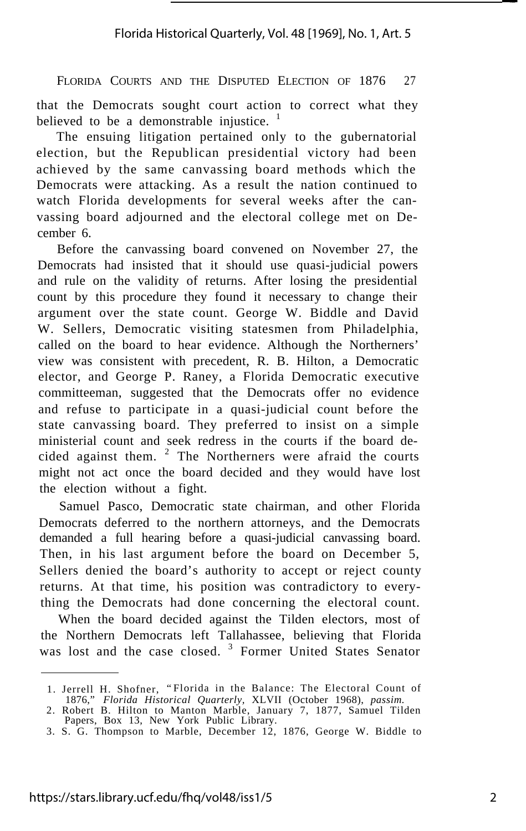that the Democrats sought court action to correct what they believed to be a demonstrable injustice.  $\frac{1}{1}$ 

The ensuing litigation pertained only to the gubernatorial election, but the Republican presidential victory had been achieved by the same canvassing board methods which the Democrats were attacking. As a result the nation continued to watch Florida developments for several weeks after the canvassing board adjourned and the electoral college met on December 6.

Before the canvassing board convened on November 27, the Democrats had insisted that it should use quasi-judicial powers and rule on the validity of returns. After losing the presidential count by this procedure they found it necessary to change their argument over the state count. George W. Biddle and David W. Sellers, Democratic visiting statesmen from Philadelphia, called on the board to hear evidence. Although the Northerners' view was consistent with precedent, R. B. Hilton, a Democratic elector, and George P. Raney, a Florida Democratic executive committeeman, suggested that the Democrats offer no evidence and refuse to participate in a quasi-judicial count before the state canvassing board. They preferred to insist on a simple ministerial count and seek redress in the courts if the board decided against them.  $2$  The Northerners were afraid the courts might not act once the board decided and they would have lost the election without a fight.

Samuel Pasco, Democratic state chairman, and other Florida Democrats deferred to the northern attorneys, and the Democrats demanded a full hearing before a quasi-judicial canvassing board. Then, in his last argument before the board on December 5, Sellers denied the board's authority to accept or reject county returns. At that time, his position was contradictory to everything the Democrats had done concerning the electoral count.

When the board decided against the Tilden electors, most of the Northern Democrats left Tallahassee, believing that Florida was lost and the case closed.<sup>3</sup> Former United States Senator

<sup>1.</sup> Jerrell H. Shofner, "Florida in the Balance: The Electoral Count of

<sup>1876,&</sup>quot; *Florida Historical Quarterly,* XLVII (October 1968), *passim.* 2. Robert B. Hilton to Manton Marble, January 7, 1877, Samuel Tilden Papers, Box 13, New York Public Library.

<sup>3.</sup> S. G. Thompson to Marble, December 12, 1876, George W. Biddle to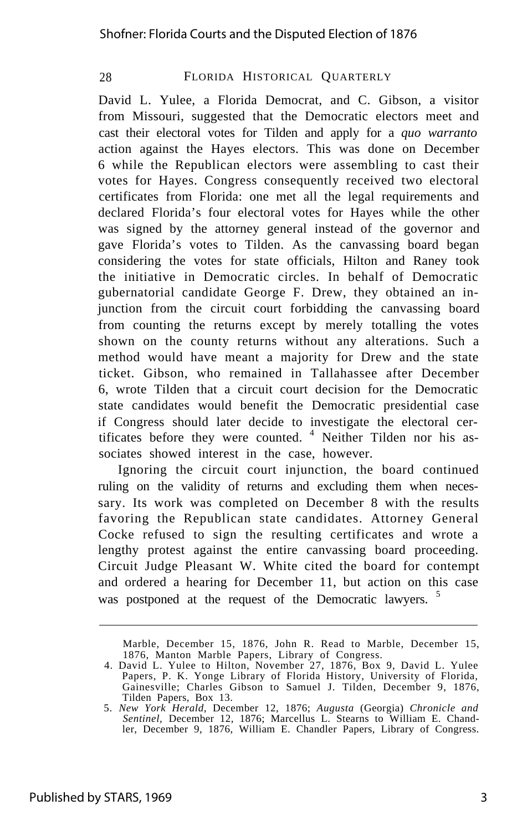David L. Yulee, a Florida Democrat, and C. Gibson, a visitor from Missouri, suggested that the Democratic electors meet and cast their electoral votes for Tilden and apply for a *quo warranto* action against the Hayes electors. This was done on December 6 while the Republican electors were assembling to cast their votes for Hayes. Congress consequently received two electoral certificates from Florida: one met all the legal requirements and declared Florida's four electoral votes for Hayes while the other was signed by the attorney general instead of the governor and gave Florida's votes to Tilden. As the canvassing board began considering the votes for state officials, Hilton and Raney took the initiative in Democratic circles. In behalf of Democratic gubernatorial candidate George F. Drew, they obtained an injunction from the circuit court forbidding the canvassing board from counting the returns except by merely totalling the votes shown on the county returns without any alterations. Such a method would have meant a majority for Drew and the state ticket. Gibson, who remained in Tallahassee after December 6, wrote Tilden that a circuit court decision for the Democratic state candidates would benefit the Democratic presidential case if Congress should later decide to investigate the electoral certificates before they were counted. <sup>4</sup> Neither Tilden nor his associates showed interest in the case, however.

Ignoring the circuit court injunction, the board continued ruling on the validity of returns and excluding them when necessary. Its work was completed on December 8 with the results favoring the Republican state candidates. Attorney General Cocke refused to sign the resulting certificates and wrote a lengthy protest against the entire canvassing board proceeding. Circuit Judge Pleasant W. White cited the board for contempt and ordered a hearing for December 11, but action on this case was postponed at the request of the Democratic lawyers.<sup>5</sup>

Marble, December 15, 1876, John R. Read to Marble, December 15,

<sup>1876,</sup> Manton Marble Papers, Library of Congress. 4. David L. Yulee to Hilton, November 27, 1876, Box 9, David L. Yulee Papers, P. K. Yonge Library of Florida History, University of Florida, Gainesville; Charles Gibson to Samuel J. Tilden, December 9, 1876, Tilden Papers, Box 13.

<sup>5.</sup> *New York Herald,* December 12, 1876; *Augusta* (Georgia) *Chronicle and Sentinel,* December 12, 1876; Marcellus L. Stearns to William E. Chand-ler, December 9, 1876, William E. Chandler Papers, Library of Congress.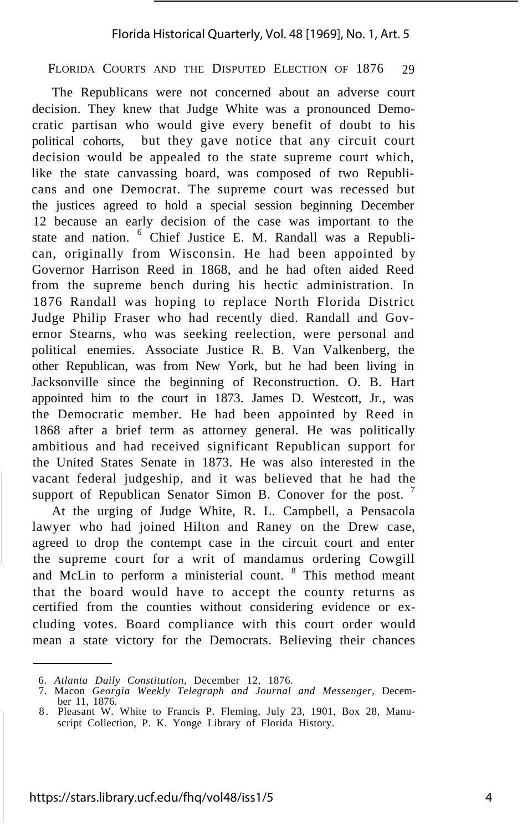The Republicans were not concerned about an adverse court decision. They knew that Judge White was a pronounced Democratic partisan who would give every benefit of doubt to his political cohorts, but they gave notice that any circuit court decision would be appealed to the state supreme court which, like the state canvassing board, was composed of two Republicans and one Democrat. The supreme court was recessed but the justices agreed to hold a special session beginning December 12 because an early decision of the case was important to the state and nation. <sup>6</sup> Chief Justice E. M. Randall was a Republican, originally from Wisconsin. He had been appointed by Governor Harrison Reed in 1868, and he had often aided Reed from the supreme bench during his hectic administration. In 1876 Randall was hoping to replace North Florida District Judge Philip Fraser who had recently died. Randall and Governor Stearns, who was seeking reelection, were personal and political enemies. Associate Justice R. B. Van Valkenberg, the other Republican, was from New York, but he had been living in Jacksonville since the beginning of Reconstruction. O. B. Hart appointed him to the court in 1873. James D. Westcott, Jr., was the Democratic member. He had been appointed by Reed in 1868 after a brief term as attorney general. He was politically ambitious and had received significant Republican support for the United States Senate in 1873. He was also interested in the vacant federal judgeship, and it was believed that he had the support of Republican Senator Simon B. Conover for the post.  $<sup>7</sup>$ </sup>

At the urging of Judge White, R. L. Campbell, a Pensacola lawyer who had joined Hilton and Raney on the Drew case, agreed to drop the contempt case in the circuit court and enter the supreme court for a writ of mandamus ordering Cowgill and McLin to perform a ministerial count. <sup>8</sup> This method meant that the board would have to accept the county returns as certified from the counties without considering evidence or excluding votes. Board compliance with this court order would mean a state victory for the Democrats. Believing their chances

<sup>6.</sup> *Atlanta Daily Constitution,* December 12, 1876. 7. Macon *Georgia Weekly Telegraph and Journal and Messenger,* December 11, 1876.

<sup>8</sup> . Pleasant W. White to Francis P. Fleming, July 23, 1901, Box 28, Manuscript Collection, P. K. Yonge Library of Florida History.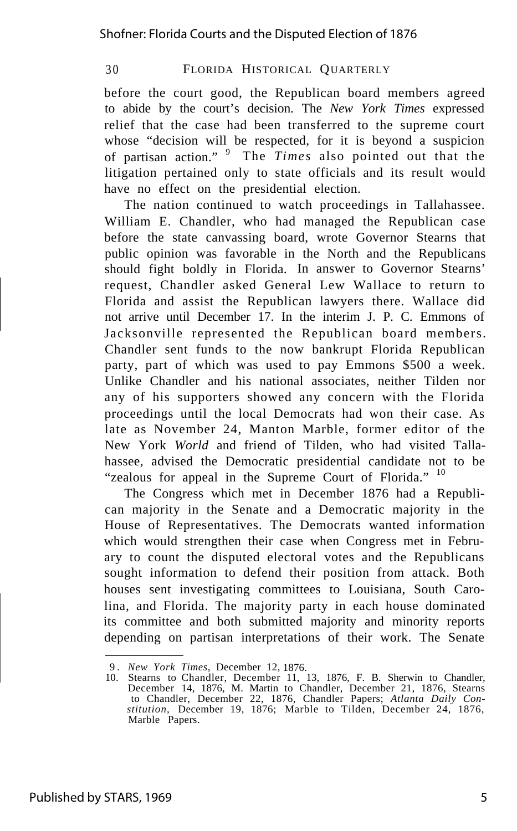before the court good, the Republican board members agreed to abide by the court's decision. The *New York Times* expressed relief that the case had been transferred to the supreme court whose "decision will be respected, for it is beyond a suspicion of partisan action." <sup>9</sup> The *Times* also pointed out that the litigation pertained only to state officials and its result would have no effect on the presidential election.

The nation continued to watch proceedings in Tallahassee. William E. Chandler, who had managed the Republican case before the state canvassing board, wrote Governor Stearns that public opinion was favorable in the North and the Republicans should fight boldly in Florida. In answer to Governor Stearns' request, Chandler asked General Lew Wallace to return to Florida and assist the Republican lawyers there. Wallace did not arrive until December 17. In the interim J. P. C. Emmons of Jacksonville represented the Republican board members. Chandler sent funds to the now bankrupt Florida Republican party, part of which was used to pay Emmons \$500 a week. Unlike Chandler and his national associates, neither Tilden nor any of his supporters showed any concern with the Florida proceedings until the local Democrats had won their case. As late as November 24, Manton Marble, former editor of the New York *World* and friend of Tilden, who had visited Tallahassee, advised the Democratic presidential candidate not to be "zealous for appeal in the Supreme Court of Florida." <sup>10</sup>

The Congress which met in December 1876 had a Republican majority in the Senate and a Democratic majority in the House of Representatives. The Democrats wanted information which would strengthen their case when Congress met in February to count the disputed electoral votes and the Republicans sought information to defend their position from attack. Both houses sent investigating committees to Louisiana, South Carolina, and Florida. The majority party in each house dominated its committee and both submitted majority and minority reports depending on partisan interpretations of their work. The Senate

<sup>9</sup> . *New York Times,* December 12, 1876.

<sup>10.</sup> Stearns to Chandler, December 11, 13, 1876, F. B. Sherwin to Chandler, December 14, 1876, M. Martin to Chandler, December 21, 1876, Stearns to Chandler, December 22, 1876, Chandler Papers; *Atlanta Daily Con-stitution,* December 19, 1876; Marble to Tilden, December 24, 1876, Marble Papers.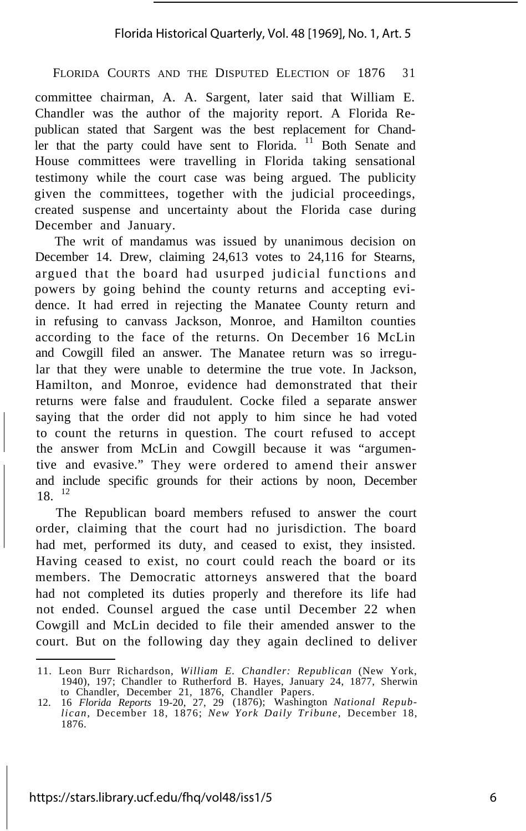#### Florida Historical Quarterly, Vol. 48 [1969], No. 1, Art. 5

#### FLORIDA COURTS AND THE DISPUTED ELECTION OF 1876 31

committee chairman, A. A. Sargent, later said that William E. Chandler was the author of the majority report. A Florida Republican stated that Sargent was the best replacement for Chandler that the party could have sent to Florida.<sup>11</sup> Both Senate and House committees were travelling in Florida taking sensational testimony while the court case was being argued. The publicity given the committees, together with the judicial proceedings, created suspense and uncertainty about the Florida case during December and January.

The writ of mandamus was issued by unanimous decision on December 14. Drew, claiming 24,613 votes to 24,116 for Stearns, argued that the board had usurped judicial functions and powers by going behind the county returns and accepting evidence. It had erred in rejecting the Manatee County return and in refusing to canvass Jackson, Monroe, and Hamilton counties according to the face of the returns. On December 16 McLin and Cowgill filed an answer. The Manatee return was so irregular that they were unable to determine the true vote. In Jackson, Hamilton, and Monroe, evidence had demonstrated that their returns were false and fraudulent. Cocke filed a separate answer saying that the order did not apply to him since he had voted to count the returns in question. The court refused to accept the answer from McLin and Cowgill because it was "argumentive and evasive." They were ordered to amend their answer and include specific grounds for their actions by noon, December 18. <sup>12</sup>

The Republican board members refused to answer the court order, claiming that the court had no jurisdiction. The board had met, performed its duty, and ceased to exist, they insisted. Having ceased to exist, no court could reach the board or its members. The Democratic attorneys answered that the board had not completed its duties properly and therefore its life had not ended. Counsel argued the case until December 22 when Cowgill and McLin decided to file their amended answer to the court. But on the following day they again declined to deliver

<sup>11.</sup> Leon Burr Richardson, *William E. Chandler: Republican* (New York, 1940), 197; Chandler to Rutherford B. Hayes, January 24, 1877, Sherwin to Chandler, December 21, 1876, 12. 16 *Florida Reports* 19-20, 27, 29 Chandler Papers. (1876); Washington *National Repub-*

*lican,* December 18, 1876; *New York Daily Tribune,* December 18, 1876.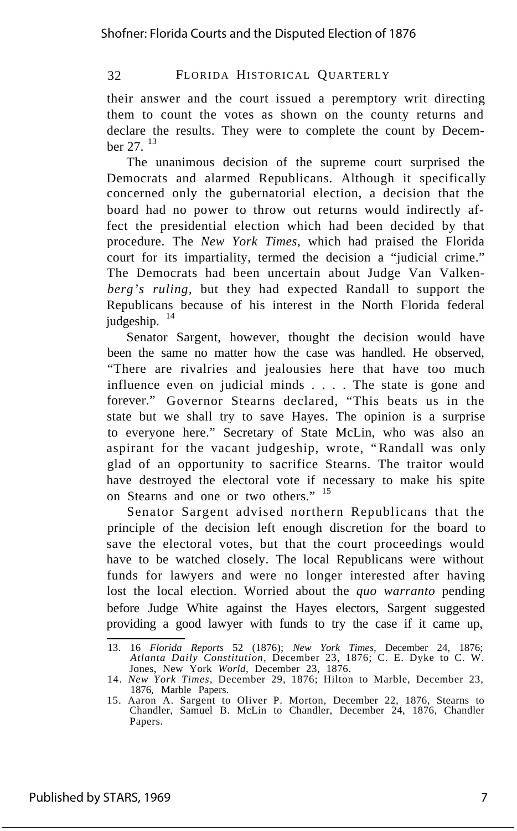their answer and the court issued a peremptory writ directing them to count the votes as shown on the county returns and declare the results. They were to complete the count by December 27 $^{-13}$ 

The unanimous decision of the supreme court surprised the Democrats and alarmed Republicans. Although it specifically concerned only the gubernatorial election, a decision that the board had no power to throw out returns would indirectly affect the presidential election which had been decided by that procedure. The *New York Times,* which had praised the Florida court for its impartiality, termed the decision a "judicial crime." The Democrats had been uncertain about Judge Van Valken*berg's ruling,* but they had expected Randall to support the Republicans because of his interest in the North Florida federal judgeship.  $14$ 

Senator Sargent, however, thought the decision would have been the same no matter how the case was handled. He observed, "There are rivalries and jealousies here that have too much influence even on judicial minds . . . . The state is gone and forever." Governor Stearns declared, "This beats us in the state but we shall try to save Hayes. The opinion is a surprise to everyone here." Secretary of State McLin, who was also an aspirant for the vacant judgeship, wrote, "Randall was only glad of an opportunity to sacrifice Stearns. The traitor would have destroyed the electoral vote if necessary to make his spite on Stearns and one or two others." <sup>15</sup>

Senator Sargent advised northern Republicans that the principle of the decision left enough discretion for the board to save the electoral votes, but that the court proceedings would have to be watched closely. The local Republicans were without funds for lawyers and were no longer interested after having lost the local election. Worried about the *quo warranto* pending before Judge White against the Hayes electors, Sargent suggested providing a good lawyer with funds to try the case if it came up,

<sup>13. 16</sup> *Florida Reports* 52 (1876); *New York Times,* December 24, 1876; *Atlanta Daily Constitution,* December 23, 1876; C. E. Dyke to C. W.

Jones, New York *World,* December 23, 1876. 14. *New York Times,* December 29, 1876; Hilton to Marble, December 23, 1876, Marble Papers.

<sup>15.</sup> Aaron A. Sargent to Oliver P. Morton, December 22, 1876, Stearns to Chandler, Samuel B. McLin to Chandler, December 24, 1876, Chandler Papers.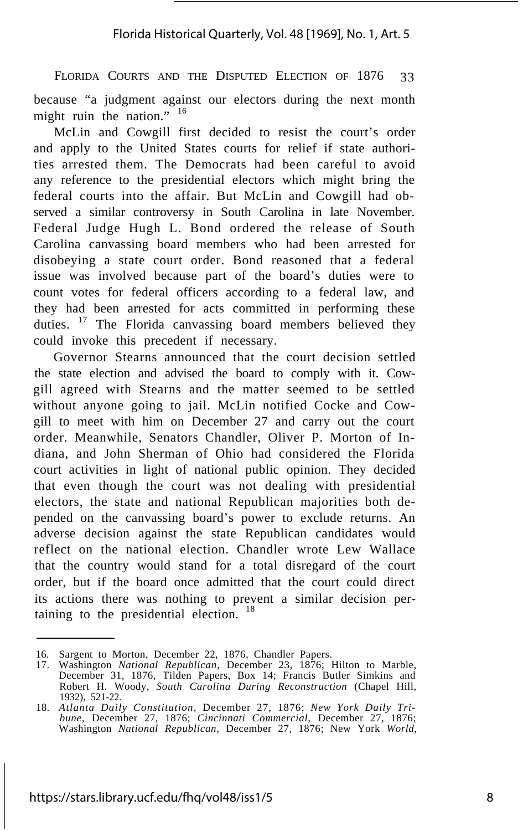because "a judgment against our electors during the next month might ruin the nation."  $16$ 

McLin and Cowgill first decided to resist the court's order and apply to the United States courts for relief if state authorities arrested them. The Democrats had been careful to avoid any reference to the presidential electors which might bring the federal courts into the affair. But McLin and Cowgill had observed a similar controversy in South Carolina in late November. Federal Judge Hugh L. Bond ordered the release of South Carolina canvassing board members who had been arrested for disobeying a state court order. Bond reasoned that a federal issue was involved because part of the board's duties were to count votes for federal officers according to a federal law, and they had been arrested for acts committed in performing these duties. <sup>17</sup> The Florida canvassing board members believed they could invoke this precedent if necessary.

Governor Stearns announced that the court decision settled the state election and advised the board to comply with it. Cowgill agreed with Stearns and the matter seemed to be settled without anyone going to jail. McLin notified Cocke and Cowgill to meet with him on December 27 and carry out the court order. Meanwhile, Senators Chandler, Oliver P. Morton of Indiana, and John Sherman of Ohio had considered the Florida court activities in light of national public opinion. They decided that even though the court was not dealing with presidential electors, the state and national Republican majorities both depended on the canvassing board's power to exclude returns. An adverse decision against the state Republican candidates would reflect on the national election. Chandler wrote Lew Wallace that the country would stand for a total disregard of the court order, but if the board once admitted that the court could direct its actions there was nothing to prevent a similar decision pertaining to the presidential election. <sup>18</sup>

<sup>16.</sup>

<sup>17.</sup> Sargent to Morton, December 22, 1876, Chandler Papers. Washington *National Republican,* December 23, 1876; Hilton to Marble, December 31, 1876, Tilden Papers, Box 14; Francis Butler Simkins and Robert H. Woody, *South Carolina During Reconstruction* (Chapel Hill, 1932), 521-22.

<sup>18.</sup> *Atlanta Daily Constitution,* December 27, 1876; *New York Daily Tribune,* December 27, 1876; *Cincinnati Commercial,* December 27, 1876; Washington *National Republican,* December 27, 1876; New York *World,*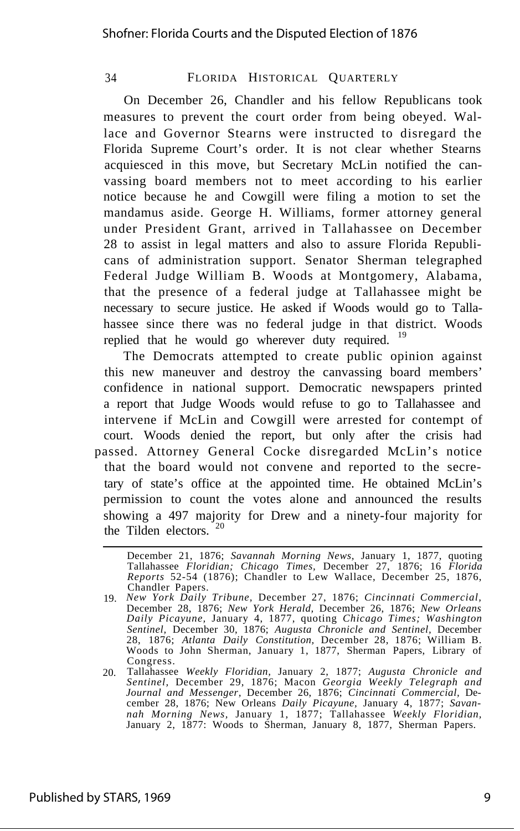On December 26, Chandler and his fellow Republicans took measures to prevent the court order from being obeyed. Wallace and Governor Stearns were instructed to disregard the Florida Supreme Court's order. It is not clear whether Stearns acquiesced in this move, but Secretary McLin notified the canvassing board members not to meet according to his earlier notice because he and Cowgill were filing a motion to set the mandamus aside. George H. Williams, former attorney general under President Grant, arrived in Tallahassee on December 28 to assist in legal matters and also to assure Florida Republicans of administration support. Senator Sherman telegraphed Federal Judge William B. Woods at Montgomery, Alabama, that the presence of a federal judge at Tallahassee might be necessary to secure justice. He asked if Woods would go to Tallahassee since there was no federal judge in that district. Woods replied that he would go wherever duty required.  $19$ 

The Democrats attempted to create public opinion against this new maneuver and destroy the canvassing board members' confidence in national support. Democratic newspapers printed a report that Judge Woods would refuse to go to Tallahassee and intervene if McLin and Cowgill were arrested for contempt of court. Woods denied the report, but only after the crisis had passed. Attorney General Cocke disregarded McLin's notice that the board would not convene and reported to the secretary of state's office at the appointed time. He obtained McLin's permission to count the votes alone and announced the results showing a 497 majority for Drew and a ninety-four majority for the Tilden electors.<sup>20</sup>

December 21, 1876; *Savannah Morning News,* January 1, 1877, quoting Tallahassee *Floridian; Chicago Times,* December 27, 1876; 16 *Florida Reports* 52-54 (1876); Chandler to Lew Wallace, December 25, 1876, Chandler Papers. *New York Daily Tribune,* December 27, 1876; *Cincinnati Commercial,*

<sup>19.</sup> December 28, 1876; *New York Herald,* December 26, 1876; *New Orleans Daily Picayune,* January 4, 1877, quoting *Chicago Times; Washington Sentinel,* December 30, 1876; *Augusta Chronicle and Sentinel,* December 28, 1876; *Atlanta Daily Constitution,* December 28, 1876; William B. Woods to John Sherman, January 1, 1877, Sherman Papers, Library of Congress.

<sup>20.</sup> Tallahassee *Weekly Floridian,* January 2, 1877; *Augusta Chronicle and Sentinel,* December 29, 1876; Macon *Georgia Weekly Telegraph and Journal and Messenger,* December 26, 1876; *Cincinnati Commercial,* De-cember 28, 1876; New Orleans *Daily Picayune,* January 4, 1877; *Savannah Morning News,* January 1, 1877; Tallahassee *Weekly Floridian,* January 2, 1877: Woods to Sherman, January 8, 1877, Sherman Papers.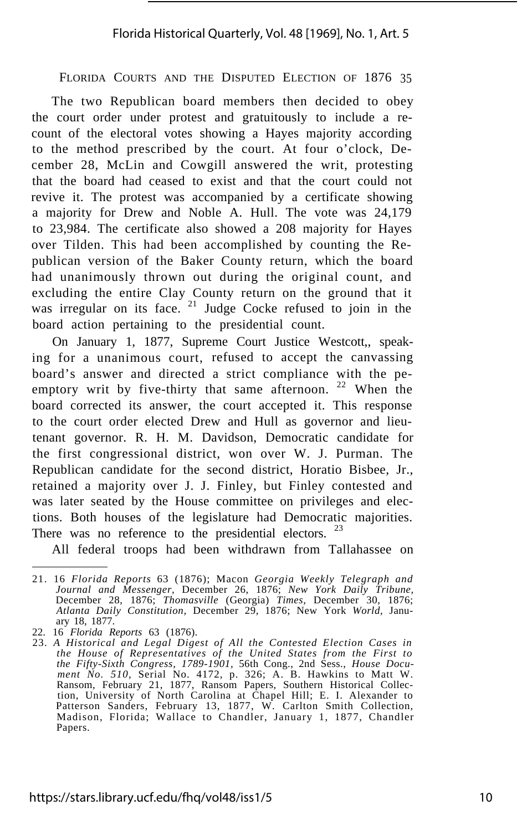The two Republican board members then decided to obey the court order under protest and gratuitously to include a recount of the electoral votes showing a Hayes majority according to the method prescribed by the court. At four o'clock, December 28, McLin and Cowgill answered the writ, protesting that the board had ceased to exist and that the court could not revive it. The protest was accompanied by a certificate showing a majority for Drew and Noble A. Hull. The vote was 24,179 to 23,984. The certificate also showed a 208 majority for Hayes over Tilden. This had been accomplished by counting the Republican version of the Baker County return, which the board had unanimously thrown out during the original count, and excluding the entire Clay County return on the ground that it was irregular on its face.  $21$  Judge Cocke refused to join in the board action pertaining to the presidential count.

On January 1, 1877, Supreme Court Justice Westcott,, speaking for a unanimous court, refused to accept the canvassing board's answer and directed a strict compliance with the peemptory writ by five-thirty that same afternoon.<sup>22</sup> When the board corrected its answer, the court accepted it. This response to the court order elected Drew and Hull as governor and lieutenant governor. R. H. M. Davidson, Democratic candidate for the first congressional district, won over W. J. Purman. The Republican candidate for the second district, Horatio Bisbee, Jr., retained a majority over J. J. Finley, but Finley contested and was later seated by the House committee on privileges and elections. Both houses of the legislature had Democratic majorities. There was no reference to the presidential electors. <sup>23</sup>

All federal troops had been withdrawn from Tallahassee on

<sup>21. 16</sup> *Florida Reports* 63 (1876); Macon *Georgia Weekly Telegraph and Journal and Messenger,* December 26, 1876; *New York Daily Tribune,* December 28, 1876; *Thomasville* (Georgia) *Times,* December 30, 1876; *Atlanta Daily Constitution,* December 29, 1876; New York *World,* January 18, 1877.

<sup>22. 16</sup> *Florida Reports* 63 (1876).

<sup>23.</sup> *A Historical and Legal Digest of All the Contested Election Cases in the House of Representatives of the United States from the First to the Fifty-Sixth Congress, 1789-1901,* 56th Cong., 2nd Sess., *House Document No. 510,* Serial No. 4172, p. 326; A. B. Hawkins to Matt W. Ransom, February 21, 1877, Ransom Papers, Southern Historical Collec-tion, University of North Carolina at Chapel Hill; E. I. Alexander to Patterson Sanders, February 13, 1877, W. Carlton Smith Collection, Madison, Florida; Wallace to Chandler, January 1, 1877, Chandler Papers.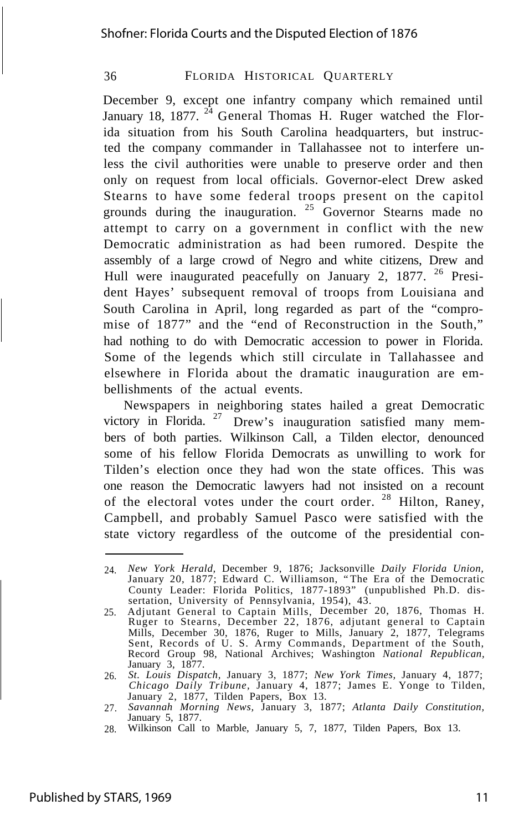December 9, except one infantry company which remained until January 18, 1877.  $24$  General Thomas H. Ruger watched the Florida situation from his South Carolina headquarters, but instructed the company commander in Tallahassee not to interfere unless the civil authorities were unable to preserve order and then only on request from local officials. Governor-elect Drew asked Stearns to have some federal troops present on the capitol grounds during the inauguration. <sup>25</sup> Governor Stearns made no attempt to carry on a government in conflict with the new Democratic administration as had been rumored. Despite the assembly of a large crowd of Negro and white citizens, Drew and Hull were inaugurated peacefully on January 2, 1877. <sup>26</sup> President Hayes' subsequent removal of troops from Louisiana and South Carolina in April, long regarded as part of the "compromise of 1877" and the "end of Reconstruction in the South," had nothing to do with Democratic accession to power in Florida. Some of the legends which still circulate in Tallahassee and elsewhere in Florida about the dramatic inauguration are embellishments of the actual events.

Newspapers in neighboring states hailed a great Democratic victory in Florida.  $27$  Drew's inauguration satisfied many members of both parties. Wilkinson Call, a Tilden elector, denounced some of his fellow Florida Democrats as unwilling to work for Tilden's election once they had won the state offices. This was one reason the Democratic lawyers had not insisted on a recount of the electoral votes under the court order.  $28$  Hilton, Raney, Campbell, and probably Samuel Pasco were satisfied with the state victory regardless of the outcome of the presidential con-

<sup>24.</sup> *New York Herald,* December 9, 1876; Jacksonville *Daily Florida Union,* January 20, 1877; Edward C. Williamson, "The Era of the Democratic County Leader: Florida Politics, 1877-1893" (unpublished Ph.D. dissertation, University of Pennsylvania, 1954), 43.<br>Adjutant General to Captain Mills, December 20, 1876, Thomas H.<br>Ruger to Stearns, December 22, 1876, adjut

<sup>25.</sup> Mills, December 30, 1876, Ruger to Mills, January 2, 1877, Telegrams Sent, Records of U. S. Army Commands, Department of the South, Record Group 98, National Archives; Washington *National Republican*, January 3, 1877.<br>January 3, 1877.<br>*St. Louis Dispatch*, January 3, 1877; *New York Times*, January 4, 1877;<br>*Chicago Daily Tribune*, January 4, 1877; Ja

<sup>26.</sup>

<sup>27.</sup> January 2, 1877, Tilden Papers, Box 13. *Savannah Morning News,* January 3, 1877; *Atlanta Daily Constitution,* January 5, 1877.

<sup>28.</sup> Wilkinson Call to Marble, January 5, 7, 1877, Tilden Papers, Box 13.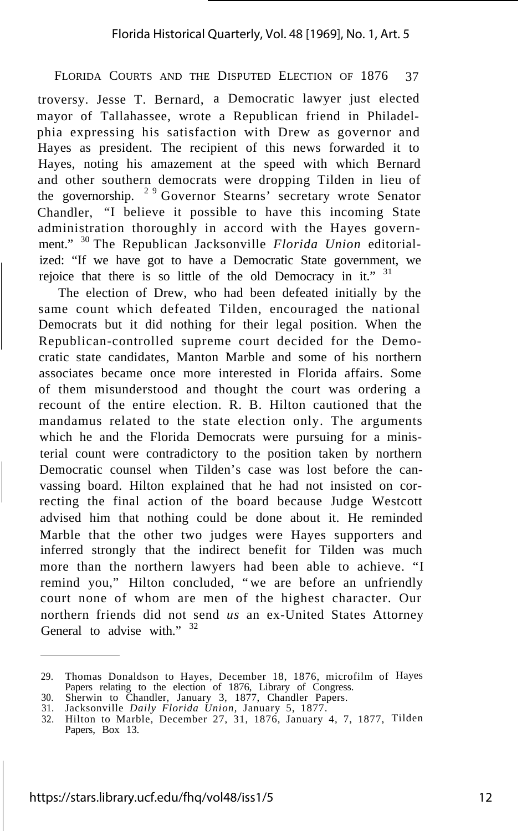troversy. Jesse T. Bernard, a Democratic lawyer just elected mayor of Tallahassee, wrote a Republican friend in Philadelphia expressing his satisfaction with Drew as governor and Hayes as president. The recipient of this news forwarded it to Hayes, noting his amazement at the speed with which Bernard and other southern democrats were dropping Tilden in lieu of the governorship. <sup>2</sup> <sup>9</sup> Governor Stearns' secretary wrote Senator Chandler, "I believe it possible to have this incoming State administration thoroughly in accord with the Hayes government." <sup>30</sup> The Republican Jacksonville *Florida Union* editorialized: "If we have got to have a Democratic State government, we rejoice that there is so little of the old Democracy in it." <sup>31</sup>

The election of Drew, who had been defeated initially by the same count which defeated Tilden, encouraged the national Democrats but it did nothing for their legal position. When the Republican-controlled supreme court decided for the Democratic state candidates, Manton Marble and some of his northern associates became once more interested in Florida affairs. Some of them misunderstood and thought the court was ordering a recount of the entire election. R. B. Hilton cautioned that the mandamus related to the state election only. The arguments which he and the Florida Democrats were pursuing for a ministerial count were contradictory to the position taken by northern Democratic counsel when Tilden's case was lost before the canvassing board. Hilton explained that he had not insisted on correcting the final action of the board because Judge Westcott advised him that nothing could be done about it. He reminded Marble that the other two judges were Hayes supporters and inferred strongly that the indirect benefit for Tilden was much more than the northern lawyers had been able to achieve. "I remind you," Hilton concluded, "we are before an unfriendly court none of whom are men of the highest character. Our northern friends did not send *us* an ex-United States Attorney General to advise with." 32

<sup>29.</sup> Thomas Donaldson to Hayes, December 18, 1876, microfilm of Papers relating to the election of 1876, Library of Congress. Hayes

<sup>30.</sup> Sherwin to Chandler, January 3, 1877, Chandler Papers.<br>31. Jacksonville *Daily Florida Union*, January 5, 1877.

<sup>32.</sup> Jacksonville *Daily Florida Union,* January 5, 1877. Hilton to Marble, December 27, 31, 1876, January 4, 7, 1877, Tilden Papers, Box 13.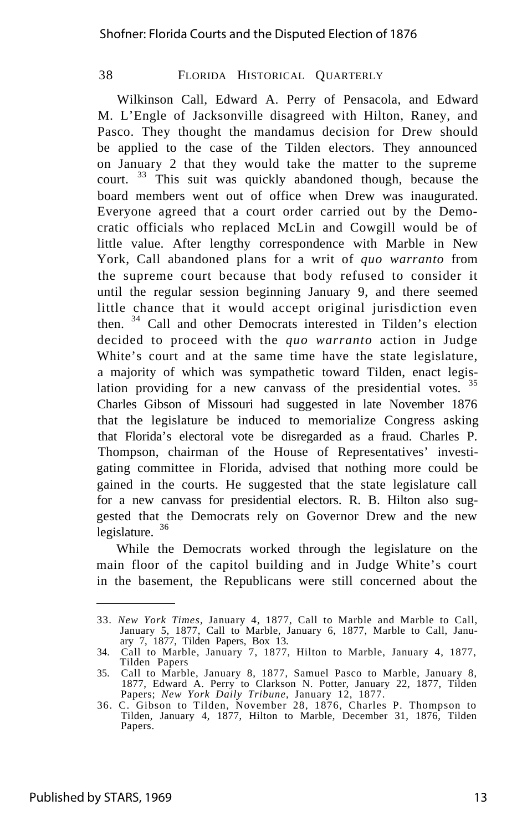Wilkinson Call, Edward A. Perry of Pensacola, and Edward M. L'Engle of Jacksonville disagreed with Hilton, Raney, and Pasco. They thought the mandamus decision for Drew should be applied to the case of the Tilden electors. They announced on January 2 that they would take the matter to the supreme court. <sup>33</sup> This suit was quickly abandoned though, because the board members went out of office when Drew was inaugurated. Everyone agreed that a court order carried out by the Democratic officials who replaced McLin and Cowgill would be of little value. After lengthy correspondence with Marble in New York, Call abandoned plans for a writ of *quo warranto* from the supreme court because that body refused to consider it until the regular session beginning January 9, and there seemed little chance that it would accept original jurisdiction even then. <sup>34</sup> Call and other Democrats interested in Tilden's election decided to proceed with the *quo warranto* action in Judge White's court and at the same time have the state legislature, a majority of which was sympathetic toward Tilden, enact legislation providing for a new canvass of the presidential votes. <sup>35</sup> Charles Gibson of Missouri had suggested in late November 1876 that the legislature be induced to memorialize Congress asking that Florida's electoral vote be disregarded as a fraud. Charles P. Thompson, chairman of the House of Representatives' investigating committee in Florida, advised that nothing more could be gained in the courts. He suggested that the state legislature call for a new canvass for presidential electors. R. B. Hilton also suggested that the Democrats rely on Governor Drew and the new legislature.  $36$ 

While the Democrats worked through the legislature on the main floor of the capitol building and in Judge White's court in the basement, the Republicans were still concerned about the

<sup>33.</sup> *New York Times,* January 4, 1877, Call to Marble and Marble to Call, January 5, 1877, Call to Marble, January 6, 1877, Marble to Call, January 7, 1877, Tilden Papers, Box 13.

<sup>34.</sup> Call to Marble, January 7, 1877, Hilton to Marble, January 4, 1877, Tilden Papers

<sup>35.</sup> Call to Marble, January 8, 1877, Samuel Pasco to Marble, January 8, 1877, Edward A. Perry to Clarkson N. Potter, January 22, 1877, Tilden Papers; *New York Daily Tribune,* January 12, 1877.

<sup>36.</sup> C. Gibson to Tilden, November 28, 1876, Charles P. Thompson to Tilden, January 4, 1877, Hilton to Marble, December 31, 1876, Tilden Papers.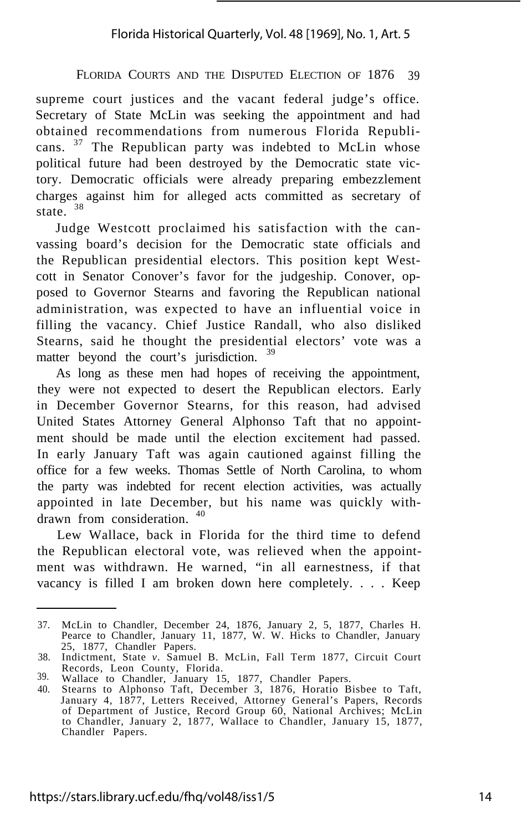supreme court justices and the vacant federal judge's office. Secretary of State McLin was seeking the appointment and had obtained recommendations from numerous Florida Republicans. <sup>37</sup> The Republican party was indebted to McLin whose political future had been destroyed by the Democratic state victory. Democratic officials were already preparing embezzlement charges against him for alleged acts committed as secretary of state. <sup>38</sup>

Judge Westcott proclaimed his satisfaction with the canvassing board's decision for the Democratic state officials and the Republican presidential electors. This position kept Westcott in Senator Conover's favor for the judgeship. Conover, opposed to Governor Stearns and favoring the Republican national administration, was expected to have an influential voice in filling the vacancy. Chief Justice Randall, who also disliked Stearns, said he thought the presidential electors' vote was a matter beyond the court's jurisdiction. <sup>39</sup>

As long as these men had hopes of receiving the appointment, they were not expected to desert the Republican electors. Early in December Governor Stearns, for this reason, had advised United States Attorney General Alphonso Taft that no appointment should be made until the election excitement had passed. In early January Taft was again cautioned against filling the office for a few weeks. Thomas Settle of North Carolina, to whom the party was indebted for recent election activities, was actually appointed in late December, but his name was quickly withdrawn from consideration.

Lew Wallace, back in Florida for the third time to defend the Republican electoral vote, was relieved when the appointment was withdrawn. He warned, "in all earnestness, if that vacancy is filled I am broken down here completely. . . . Keep

<sup>37.</sup> McLin to Chandler, December 24, 1876, January 2, 5, 1877, Charles H. Pearce to Chandler, January 11, 1877, W. W. Hicks to Chandler, January 25, 1877, Chandler Papers.

<sup>38.</sup> Indictment, State *v.* Samuel B. McLin, Fall Term 1877, Circuit Court Records, Leon County, Florida.

<sup>39.</sup> Wallace to Chandler, January 15, 1877, Chandler Papers.

<sup>40.</sup> Stearns to Alphonso Taft, December 3, 1876, Horatio Bisbee to Taft, January 4, 1877, Letters Received, Attorney General's Papers, Records of Department of Justice, Record Group 60, National Archives; McLin to Chandler, January 2, 1877, Wallace to Chandler, January 15, 1877, Chandler Papers.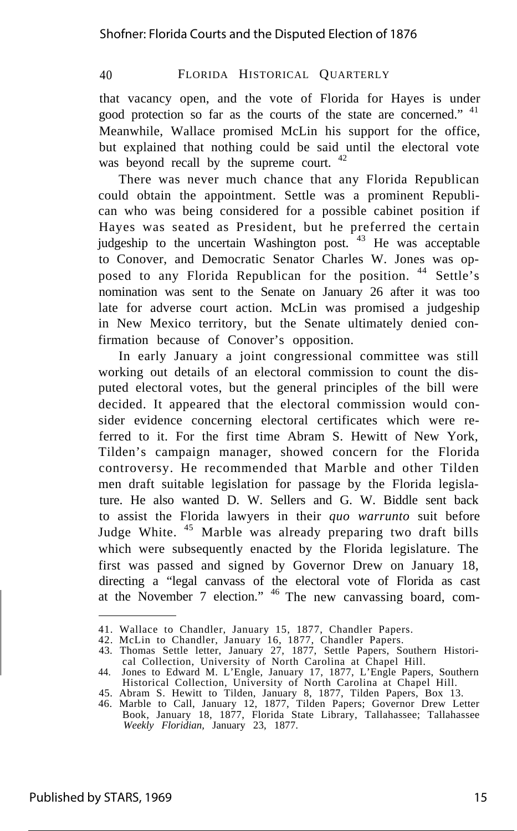that vacancy open, and the vote of Florida for Hayes is under good protection so far as the courts of the state are concerned." <sup>41</sup> Meanwhile, Wallace promised McLin his support for the office, but explained that nothing could be said until the electoral vote was beyond recall by the supreme court. <sup>42</sup>

There was never much chance that any Florida Republican could obtain the appointment. Settle was a prominent Republican who was being considered for a possible cabinet position if Hayes was seated as President, but he preferred the certain judgeship to the uncertain Washington post. <sup>43</sup> He was acceptable to Conover, and Democratic Senator Charles W. Jones was opposed to any Florida Republican for the position. <sup>44</sup> Settle's nomination was sent to the Senate on January 26 after it was too late for adverse court action. McLin was promised a judgeship in New Mexico territory, but the Senate ultimately denied confirmation because of Conover's opposition.

In early January a joint congressional committee was still working out details of an electoral commission to count the disputed electoral votes, but the general principles of the bill were decided. It appeared that the electoral commission would consider evidence concerning electoral certificates which were referred to it. For the first time Abram S. Hewitt of New York, Tilden's campaign manager, showed concern for the Florida controversy. He recommended that Marble and other Tilden men draft suitable legislation for passage by the Florida legislature. He also wanted D. W. Sellers and G. W. Biddle sent back to assist the Florida lawyers in their *quo warrunto* suit before Judge White. <sup>45</sup> Marble was already preparing two draft bills which were subsequently enacted by the Florida legislature. The first was passed and signed by Governor Drew on January 18, directing a "legal canvass of the electoral vote of Florida as cast at the November 7 election." <sup>46</sup> The new canvassing board, com-

<sup>41.</sup> Wallace to Chandler, January 15, 1877, Chandler Papers.

<sup>42.</sup> McLin to Chandler, January 16, 1877, Chandler Papers. 43. Thomas Settle letter, January 27, 1877, Settle Papers, Southern Histori-cal Collection, University of North Carolina at Chapel Hill.

<sup>44.</sup> Jones to Edward M. L'Engle, January 17, 1877, L'Engle Papers, Southern Historical Collection, University of North Carolina at Chapel Hill.

<sup>45.</sup> Abram S. Hewitt to Tilden, January 8, 1877, Tilden Papers, Box 13. 46. Marble to Call, January 12, 1877, Tilden Papers; Governor Drew Letter

Book, January 18, 1877, Florida State Library, Tallahassee; Tallahassee *Weekly Floridian,* January 23, 1877.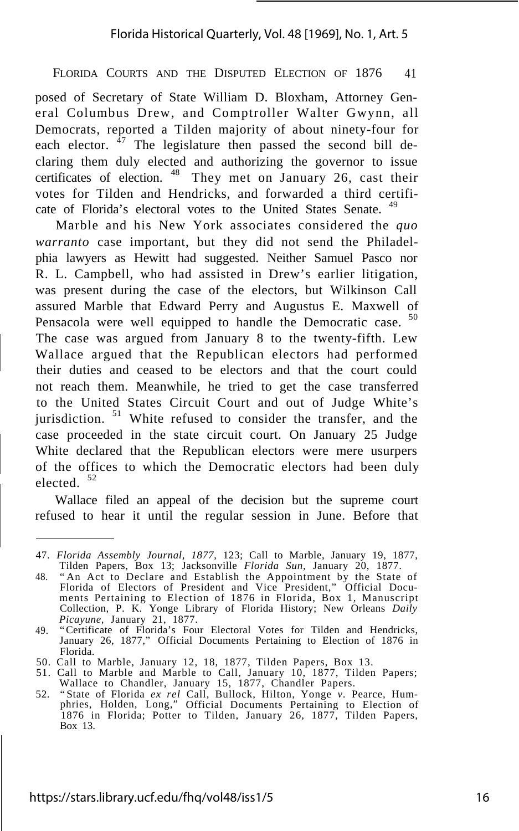posed of Secretary of State William D. Bloxham, Attorney General Columbus Drew, and Comptroller Walter Gwynn, all Democrats, reported a Tilden majority of about ninety-four for each elector.  $47$  The legislature then passed the second bill declaring them duly elected and authorizing the governor to issue certificates of election. <sup>48</sup> They met on January 26, cast their votes for Tilden and Hendricks, and forwarded a third certificate of Florida's electoral votes to the United States Senate. <sup>49</sup>

Marble and his New York associates considered the *quo warranto* case important, but they did not send the Philadelphia lawyers as Hewitt had suggested. Neither Samuel Pasco nor R. L. Campbell, who had assisted in Drew's earlier litigation, was present during the case of the electors, but Wilkinson Call assured Marble that Edward Perry and Augustus E. Maxwell of Pensacola were well equipped to handle the Democratic case. <sup>50</sup> The case was argued from January 8 to the twenty-fifth. Lew Wallace argued that the Republican electors had performed their duties and ceased to be electors and that the court could not reach them. Meanwhile, he tried to get the case transferred to the United States Circuit Court and out of Judge White's jurisdiction. <sup>51</sup> White refused to consider the transfer, and the case proceeded in the state circuit court. On January 25 Judge White declared that the Republican electors were mere usurpers of the offices to which the Democratic electors had been duly elected. <sup>52</sup>

Wallace filed an appeal of the decision but the supreme court refused to hear it until the regular session in June. Before that

<sup>47.</sup> *Florida Assembly Journal, 1877,* 123; Call to Marble, January 19, 1877, Tilden Papers, Box 13; Jacksonville *Florida Sun,* January 20, 1877.

<sup>48.</sup> "An Act to Declare and Establish the Appointment by the State of Florida of Electors of President and Vice President," Official Docu-ments Pertaining to Election of 1876 in Florida, Box 1, Manuscript Collection, P. K. Yonge Library of Florida History; New Orleans *Daily* Picayune, January 21, 1877.<br>49. "Certificate of Florida's Four Electoral Votes for Tilden and Hendricks,

January 26, 1877," Official Documents Pertaining to Election of 1876 in Florida.

<sup>50.</sup> Call to Marble, January 12, 18, 1877, Tilden Papers, Box 13.

<sup>51.</sup> Call to Marble and Marble to Call, January 10, 1877, Tilden Papers; Wallace to Chandler, January 15, 1877, Chandler Papers.

<sup>52. &</sup>quot;State of Florida *ex rel* Call, Bullock, Hilton, Yonge *v*. Pearce, Hum-<br>phries, Holden, Long," Official Documents Pertaining to Election of<br>1876 in Florida; Potter to Tilden, January 26, 1877, Tilden Papers, Box 13.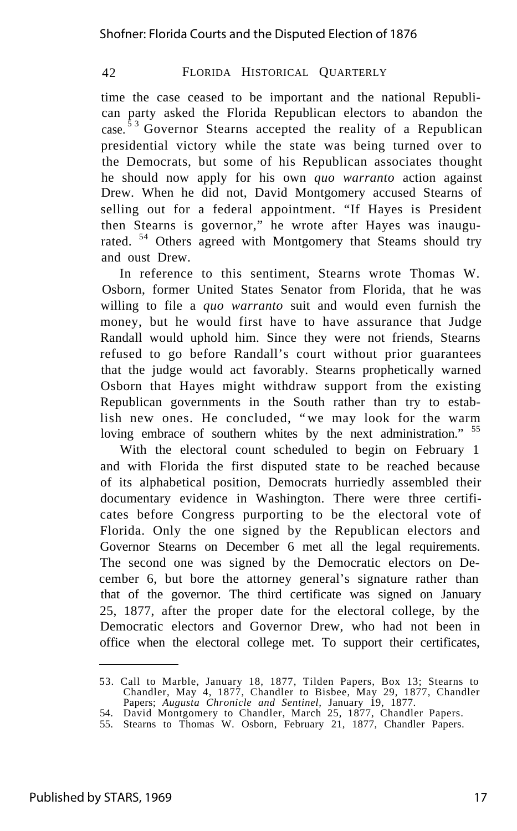time the case ceased to be important and the national Republican party asked the Florida Republican electors to abandon the case.<sup>53</sup> Governor Stearns accepted the reality of a Republican presidential victory while the state was being turned over to the Democrats, but some of his Republican associates thought he should now apply for his own *quo warranto* action against Drew. When he did not, David Montgomery accused Stearns of selling out for a federal appointment. "If Hayes is President then Stearns is governor," he wrote after Hayes was inaugurated. <sup>54</sup> Others agreed with Montgomery that Steams should try and oust Drew.

In reference to this sentiment, Stearns wrote Thomas W. Osborn, former United States Senator from Florida, that he was willing to file a *quo warranto* suit and would even furnish the money, but he would first have to have assurance that Judge Randall would uphold him. Since they were not friends, Stearns refused to go before Randall's court without prior guarantees that the judge would act favorably. Stearns prophetically warned Osborn that Hayes might withdraw support from the existing Republican governments in the South rather than try to establish new ones. He concluded, "we may look for the warm loving embrace of southern whites by the next administration." <sup>55</sup>

With the electoral count scheduled to begin on February 1 and with Florida the first disputed state to be reached because of its alphabetical position, Democrats hurriedly assembled their documentary evidence in Washington. There were three certificates before Congress purporting to be the electoral vote of Florida. Only the one signed by the Republican electors and Governor Stearns on December 6 met all the legal requirements. The second one was signed by the Democratic electors on December 6, but bore the attorney general's signature rather than that of the governor. The third certificate was signed on January 25, 1877, after the proper date for the electoral college, by the Democratic electors and Governor Drew, who had not been in office when the electoral college met. To support their certificates,

<sup>53.</sup> Call to Marble, January 18, 1877, Tilden Papers, Box 13; Stearns to Chandler, May 4, 1877, Chandler to Bisbee, May 29, 1877, Chandler

<sup>54.</sup> Papers; *Augusta Chronicle and Sentinel,* January 19, 1877. David Montgomery to Chandler, March 25, 1877, Chandler Papers.

<sup>55.</sup> Stearns to Thomas W. Osborn, February 21, 1877, Chandler Papers.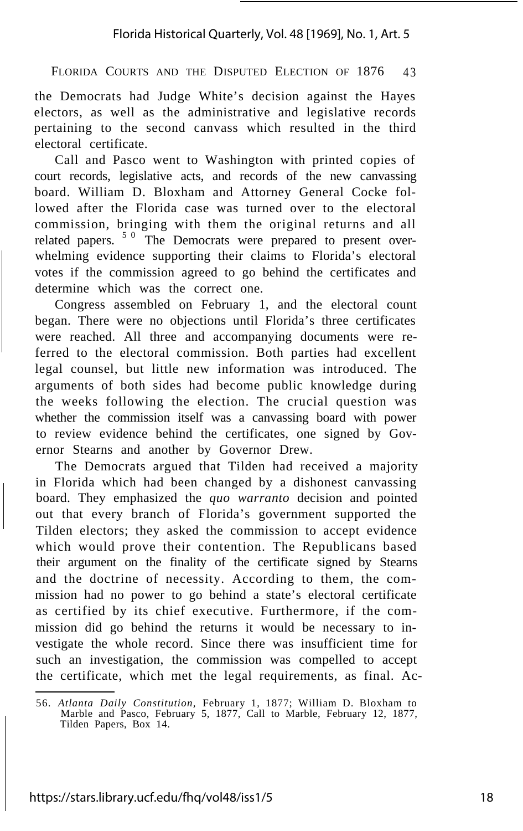the Democrats had Judge White's decision against the Hayes electors, as well as the administrative and legislative records pertaining to the second canvass which resulted in the third electoral certificate.

Call and Pasco went to Washington with printed copies of court records, legislative acts, and records of the new canvassing board. William D. Bloxham and Attorney General Cocke followed after the Florida case was turned over to the electoral commission, bringing with them the original returns and all related papers. <sup>5 0</sup> The Democrats were prepared to present overwhelming evidence supporting their claims to Florida's electoral votes if the commission agreed to go behind the certificates and determine which was the correct one.

Congress assembled on February 1, and the electoral count began. There were no objections until Florida's three certificates were reached. All three and accompanying documents were referred to the electoral commission. Both parties had excellent legal counsel, but little new information was introduced. The arguments of both sides had become public knowledge during the weeks following the election. The crucial question was whether the commission itself was a canvassing board with power to review evidence behind the certificates, one signed by Governor Stearns and another by Governor Drew.

The Democrats argued that Tilden had received a majority in Florida which had been changed by a dishonest canvassing board. They emphasized the *quo warranto* decision and pointed out that every branch of Florida's government supported the Tilden electors; they asked the commission to accept evidence which would prove their contention. The Republicans based their argument on the finality of the certificate signed by Stearns and the doctrine of necessity. According to them, the commission had no power to go behind a state's electoral certificate as certified by its chief executive. Furthermore, if the commission did go behind the returns it would be necessary to investigate the whole record. Since there was insufficient time for such an investigation, the commission was compelled to accept the certificate, which met the legal requirements, as final. Ac-

<sup>56.</sup> *Atlanta Daily Constitution,* February 1, 1877; William D. Bloxham to Marble and Pasco, February 5, 1877, Call to Marble, February 12, 1877, Tilden Papers, Box 14.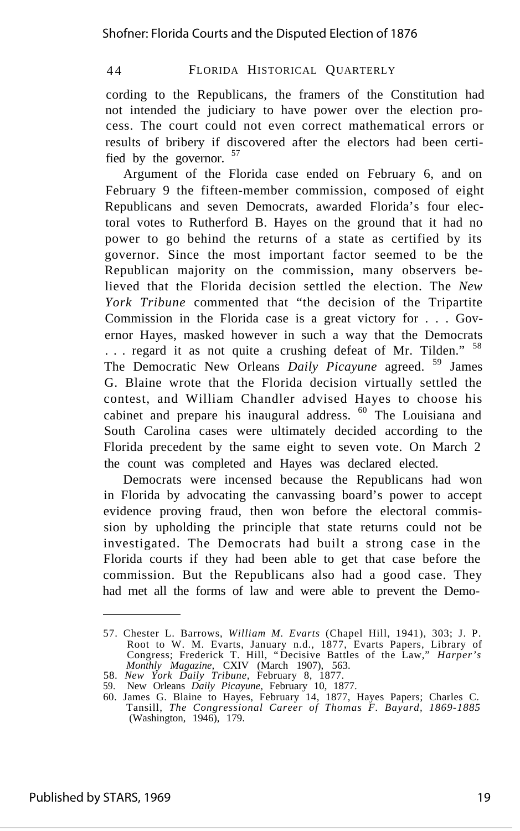cording to the Republicans, the framers of the Constitution had not intended the judiciary to have power over the election process. The court could not even correct mathematical errors or results of bribery if discovered after the electors had been certified by the governor.  $57$ 

Argument of the Florida case ended on February 6, and on February 9 the fifteen-member commission, composed of eight Republicans and seven Democrats, awarded Florida's four electoral votes to Rutherford B. Hayes on the ground that it had no power to go behind the returns of a state as certified by its governor. Since the most important factor seemed to be the Republican majority on the commission, many observers believed that the Florida decision settled the election. The *New York Tribune* commented that "the decision of the Tripartite Commission in the Florida case is a great victory for . . . Governor Hayes, masked however in such a way that the Democrats ... regard it as not quite a crushing defeat of Mr. Tilden."<sup>58</sup> The Democratic New Orleans *Daily Picayune* agreed. <sup>59</sup> James G. Blaine wrote that the Florida decision virtually settled the contest, and William Chandler advised Hayes to choose his cabinet and prepare his inaugural address. <sup>60</sup> The Louisiana and South Carolina cases were ultimately decided according to the Florida precedent by the same eight to seven vote. On March 2 the count was completed and Hayes was declared elected.

Democrats were incensed because the Republicans had won in Florida by advocating the canvassing board's power to accept evidence proving fraud, then won before the electoral commission by upholding the principle that state returns could not be investigated. The Democrats had built a strong case in the Florida courts if they had been able to get that case before the commission. But the Republicans also had a good case. They had met all the forms of law and were able to prevent the Demo-

<sup>57.</sup> Chester L. Barrows, *William M. Evarts* (Chapel Hill, 1941), 303; J. P. Root to W. M. Evarts, January n.d., 1877, Evarts Papers, Library of Congress; Frederick T. Hill, "Decisive Battles of the Law," *Harper's*<br>Monthly Magazine, CXIV (March 1907), 563.<br>58. New York Daily Tribune, February 8, 1877.<br>59. New Orleans Daily Picayune, February 10, 1877.

<sup>60.</sup> James G. Blaine to Hayes, February 14, 1877, Hayes Papers; Charles C. Tansill, *The Congressional Career of Thomas F. Bayard, 1869-1885* (Washington, 1946), 179.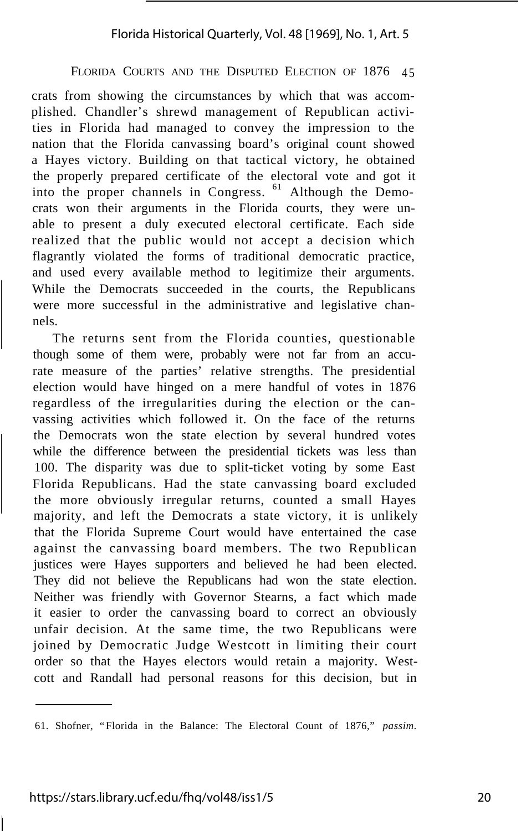crats from showing the circumstances by which that was accomplished. Chandler's shrewd management of Republican activities in Florida had managed to convey the impression to the nation that the Florida canvassing board's original count showed a Hayes victory. Building on that tactical victory, he obtained the properly prepared certificate of the electoral vote and got it into the proper channels in Congress. <sup>61</sup> Although the Democrats won their arguments in the Florida courts, they were unable to present a duly executed electoral certificate. Each side realized that the public would not accept a decision which flagrantly violated the forms of traditional democratic practice, and used every available method to legitimize their arguments. While the Democrats succeeded in the courts, the Republicans were more successful in the administrative and legislative channels.

The returns sent from the Florida counties, questionable though some of them were, probably were not far from an accurate measure of the parties' relative strengths. The presidential election would have hinged on a mere handful of votes in 1876 regardless of the irregularities during the election or the canvassing activities which followed it. On the face of the returns the Democrats won the state election by several hundred votes while the difference between the presidential tickets was less than 100. The disparity was due to split-ticket voting by some East Florida Republicans. Had the state canvassing board excluded the more obviously irregular returns, counted a small Hayes majority, and left the Democrats a state victory, it is unlikely that the Florida Supreme Court would have entertained the case against the canvassing board members. The two Republican justices were Hayes supporters and believed he had been elected. They did not believe the Republicans had won the state election. Neither was friendly with Governor Stearns, a fact which made it easier to order the canvassing board to correct an obviously unfair decision. At the same time, the two Republicans were joined by Democratic Judge Westcott in limiting their court order so that the Hayes electors would retain a majority. Westcott and Randall had personal reasons for this decision, but in

<sup>61.</sup> Shofner, "Florida in the Balance: The Electoral Count of 1876," *passim.*